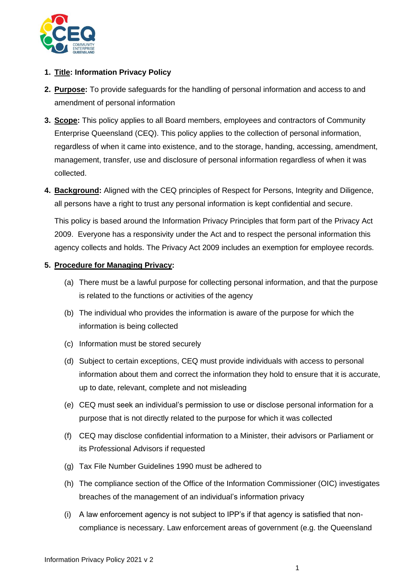

## **1. Title: Information Privacy Policy**

- **2. Purpose:** To provide safeguards for the handling of personal information and access to and amendment of personal information
- **3. Scope:** This policy applies to all Board members, employees and contractors of Community Enterprise Queensland (CEQ). This policy applies to the collection of personal information, regardless of when it came into existence, and to the storage, handing, accessing, amendment, management, transfer, use and disclosure of personal information regardless of when it was collected.
- **4. Background:** Aligned with the CEQ principles of Respect for Persons, Integrity and Diligence, all persons have a right to trust any personal information is kept confidential and secure.

This policy is based around the Information Privacy Principles that form part of the Privacy Act 2009. Everyone has a responsivity under the Act and to respect the personal information this agency collects and holds. The Privacy Act 2009 includes an exemption for employee records.

## **5. Procedure for Managing Privacy:**

- (a) There must be a lawful purpose for collecting personal information, and that the purpose is related to the functions or activities of the agency
- (b) The individual who provides the information is aware of the purpose for which the information is being collected
- (c) Information must be stored securely
- (d) Subject to certain exceptions, CEQ must provide individuals with access to personal information about them and correct the information they hold to ensure that it is accurate, up to date, relevant, complete and not misleading
- (e) CEQ must seek an individual's permission to use or disclose personal information for a purpose that is not directly related to the purpose for which it was collected
- (f) CEQ may disclose confidential information to a Minister, their advisors or Parliament or its Professional Advisors if requested
- (g) Tax File Number Guidelines 1990 must be adhered to
- (h) The compliance section of the Office of the Information Commissioner (OIC) investigates breaches of the management of an individual's information privacy
- (i) A law enforcement agency is not subject to IPP's if that agency is satisfied that noncompliance is necessary. Law enforcement areas of government (e.g. the Queensland